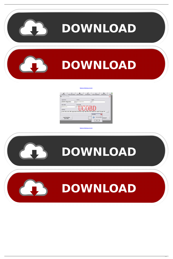

[Bunifu Ui WinForms V1.9.0.0](https://blltly.com/1w9d2c)



[Bunifu Ui WinForms V1.9.0.0](https://blltly.com/1w9d2c)